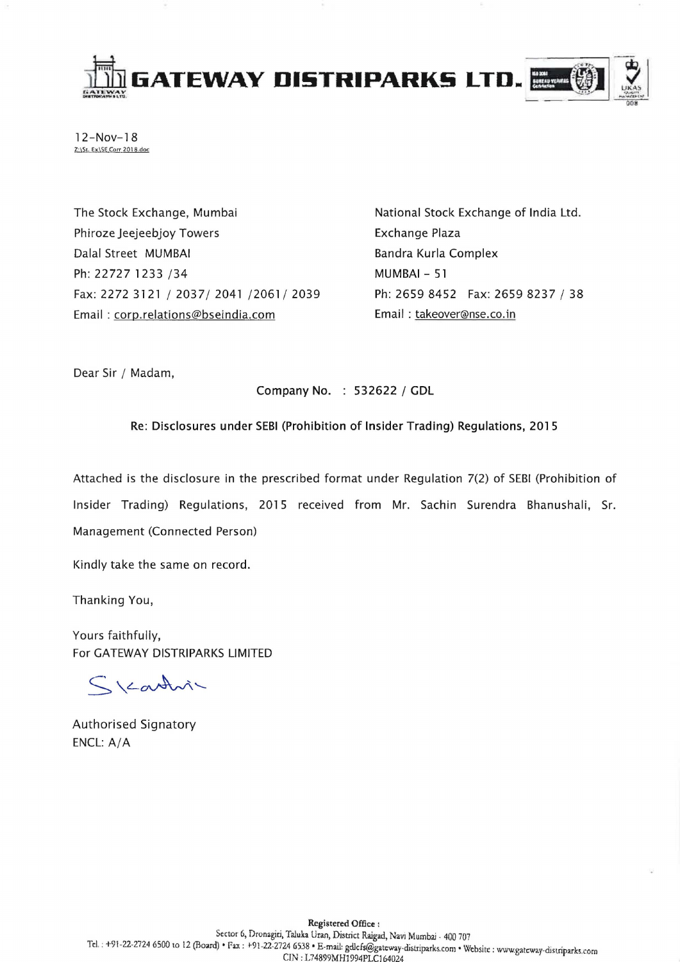

12-Nov-18 Z:\St. Ex\SE Corr 2018.doc

The Stock Exchange, Mumbai Phiroze Jeejeebjoy Towers Dalal Street MUMBAI Ph: 22727 1233 /34 Fax: 2272 3121/2037/2041/2061/2039 Email: corp.relations@bseindia.com

National Stock Exchange of India Ltd. Exchange Plaza Bandra Kurla Complex MUMBAI - 51 Ph: 2659 8452 Fax: 2659 8237 / 38 Email: takeover@nse.co.in

Dear Sir / Madam,

Company No. : 532622 / GDL

Re: Disclosures under SEBI (Prohibition of Insider Trading) Regulations, 2015

Attached is the disclosure in the prescribed format under Regulation 7(2) of SEBI (Prohibition of Insider Trading) Regulations, 2015 received from Mr. Sachin Surendra Bhanushali, Sr. Management (Connected Person)

Kindly take the same on record.

Thanking You,

Yours faithfully, For GATEWAY DISTRIPARKS LIMITED

Skartvi

Authorised Signatory ENCL: A/A